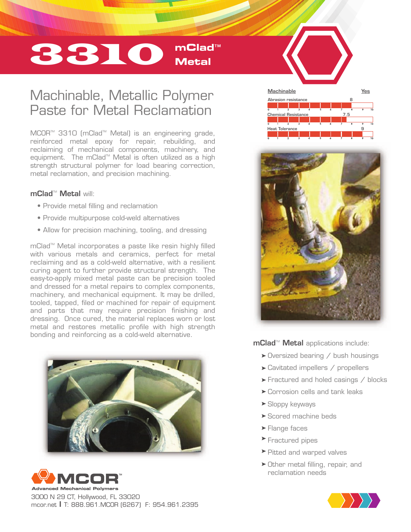# 3310 **mClad**™ **Metal**

## Machinable, Metallic Polymer Paste for Metal Reclamation

MCOR<sup>™</sup> 3310 (mClad<sup>™</sup> Metal) is an engineering grade, reinforced metal epoxy for repair, rebuilding, and reclaiming of mechanical components, machinery, and equipment. The mClad™ Metal is often utilized as a high strength structural polymer for load bearing correction, metal reclamation, and precision machining.

## mClad™ Metal will<sup>.</sup>

- Provide metal filling and reclamation
- Provide multipurpose cold-weld alternatives
- Allow for precision machining, tooling, and dressing

mClad<sup>™</sup> Metal incorporates a paste like resin highly filled with various metals and ceramics, perfect for metal reclaiming and as a cold-weld alternative, with a resilient curing agent to further provide structural strength. The easy-to-apply mixed metal paste can be precision tooled and dressed for a metal repairs to complex components, machinery, and mechanical equipment. It may be drilled, tooled, tapped, filed or machined for repair of equipment and parts that may require precision finishing and dressing. Once cured, the material replaces worn or lost metal and restores metallic profile with high strength bonding and reinforcing as a cold-weld alternative.





3000 N 29 CT, Hollywood, FL 33020 mcor.net I T: 888.961.MCOR (6267) F: 954.961.2395





mClad<sup>™</sup> Metal applications include:

- $\triangleright$  Oversized bearing / bush housings
- $\blacktriangleright$  Cavitated impellers / propellers
- $\blacktriangleright$  Fractured and holed casings / blocks
- Corrosion cells and tank leaks
- Sloppy keyways
- ▶ Scored machine beds
- **Flange faces**
- Fractured pipes
- $\blacktriangleright$  Pitted and warped valves
- $\triangleright$  Other metal filling, repair, and reclamation needs